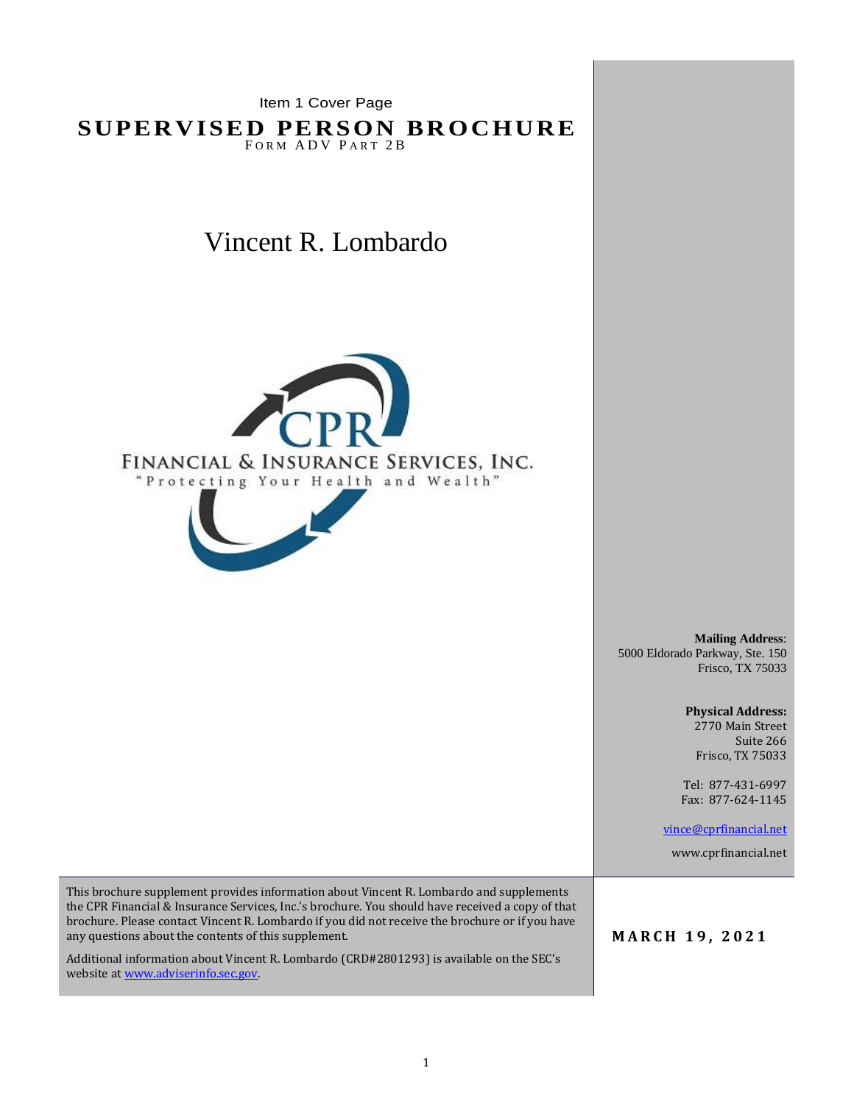Item 1 Cover Page

**SUPERVISED PERSON BROCHURE** FORM ADV PART 2B

# Vincent R. Lombardo



**Mailing Address**: 5000 Eldorado Parkway, Ste. 150 Frisco, TX 75033

> **Physical Address:** 2770 Main Street Suite 266 Frisco, TX 75033

Tel: 877-431-6997 Fax: 877-624-1145

[vince@cprfinancial.net](mailto:vince@cprfinancial.net)

www.cprfinancial.net

This brochure supplement provides information about Vincent R. Lombardo and supplements the CPR Financial & Insurance Services, Inc.'s brochure. You should have received a copy of that brochure. Please contact Vincent R. Lombardo if you did not receive the brochure or if you have any questions about the contents of this supplement.

Additional information about Vincent R. Lombardo (CRD#2801293) is available on the SEC's website a[t www.adviserinfo.sec.gov.](http://www.adviserinfo.sec.gov/)

**M A R C H 1 9 , 2 0 2 1**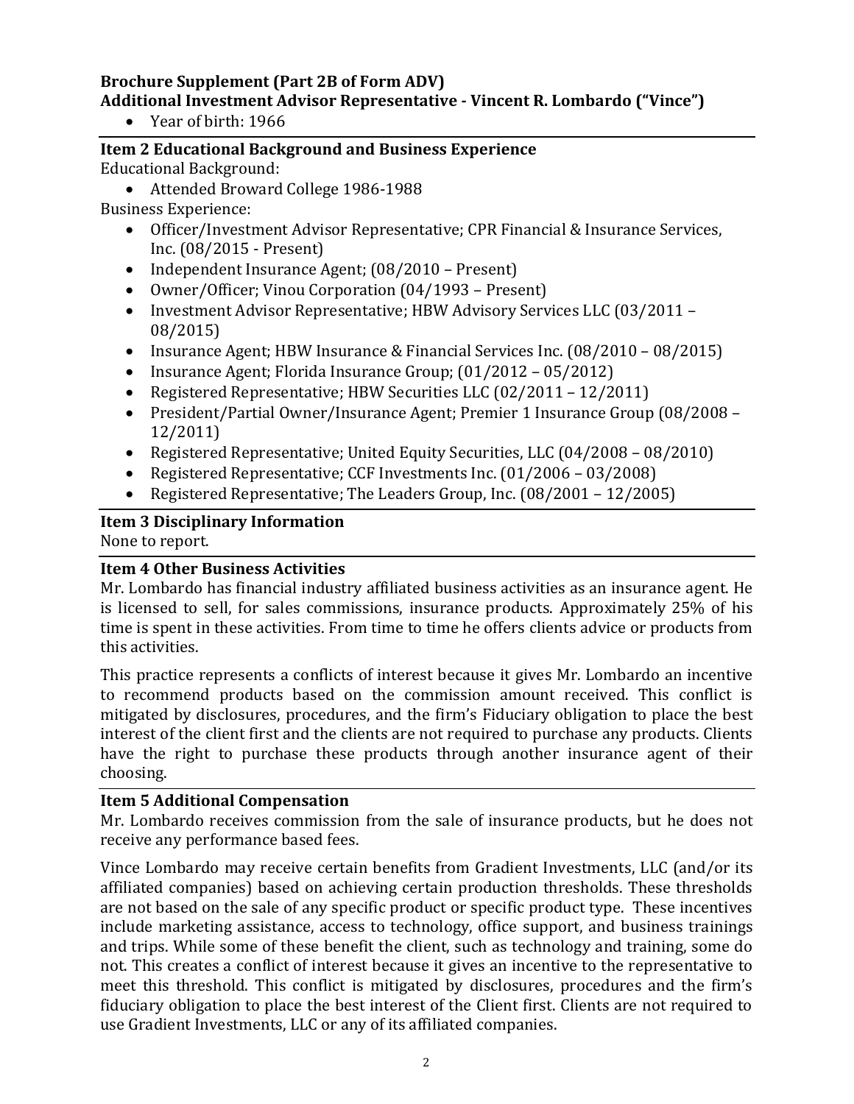## **Brochure Supplement (Part 2B of Form ADV) Additional Investment Advisor Representative - Vincent R. Lombardo ("Vince")**

• Year of birth: 1966

**Item 2 Educational Background and Business Experience** Educational Background:

• Attended Broward College 1986-1988

Business Experience:

- Officer/Investment Advisor Representative; CPR Financial & Insurance Services, Inc. (08/2015 - Present)
- Independent Insurance Agent; (08/2010 Present)
- Owner/Officer; Vinou Corporation (04/1993 Present)
- Investment Advisor Representative; HBW Advisory Services LLC (03/2011 08/2015)
- Insurance Agent; HBW Insurance & Financial Services Inc. (08/2010 08/2015)
- Insurance Agent; Florida Insurance Group; (01/2012 05/2012)
- Registered Representative; HBW Securities LLC (02/2011 12/2011)
- President/Partial Owner/Insurance Agent; Premier 1 Insurance Group (08/2008 12/2011)
- Registered Representative; United Equity Securities, LLC (04/2008 08/2010)
- Registered Representative; CCF Investments Inc. (01/2006 03/2008)
- Registered Representative; The Leaders Group, Inc. (08/2001 12/2005)

## **Item 3 Disciplinary Information**

None to report.

## **Item 4 Other Business Activities**

Mr. Lombardo has financial industry affiliated business activities as an insurance agent. He is licensed to sell, for sales commissions, insurance products. Approximately 25% of his time is spent in these activities. From time to time he offers clients advice or products from this activities.

This practice represents a conflicts of interest because it gives Mr. Lombardo an incentive to recommend products based on the commission amount received. This conflict is mitigated by disclosures, procedures, and the firm's Fiduciary obligation to place the best interest of the client first and the clients are not required to purchase any products. Clients have the right to purchase these products through another insurance agent of their choosing.

#### **Item 5 Additional Compensation**

Mr. Lombardo receives commission from the sale of insurance products, but he does not receive any performance based fees.

Vince Lombardo may receive certain benefits from Gradient Investments, LLC (and/or its affiliated companies) based on achieving certain production thresholds. These thresholds are not based on the sale of any specific product or specific product type. These incentives include marketing assistance, access to technology, office support, and business trainings and trips. While some of these benefit the client, such as technology and training, some do not. This creates a conflict of interest because it gives an incentive to the representative to meet this threshold. This conflict is mitigated by disclosures, procedures and the firm's fiduciary obligation to place the best interest of the Client first. Clients are not required to use Gradient Investments, LLC or any of its affiliated companies.